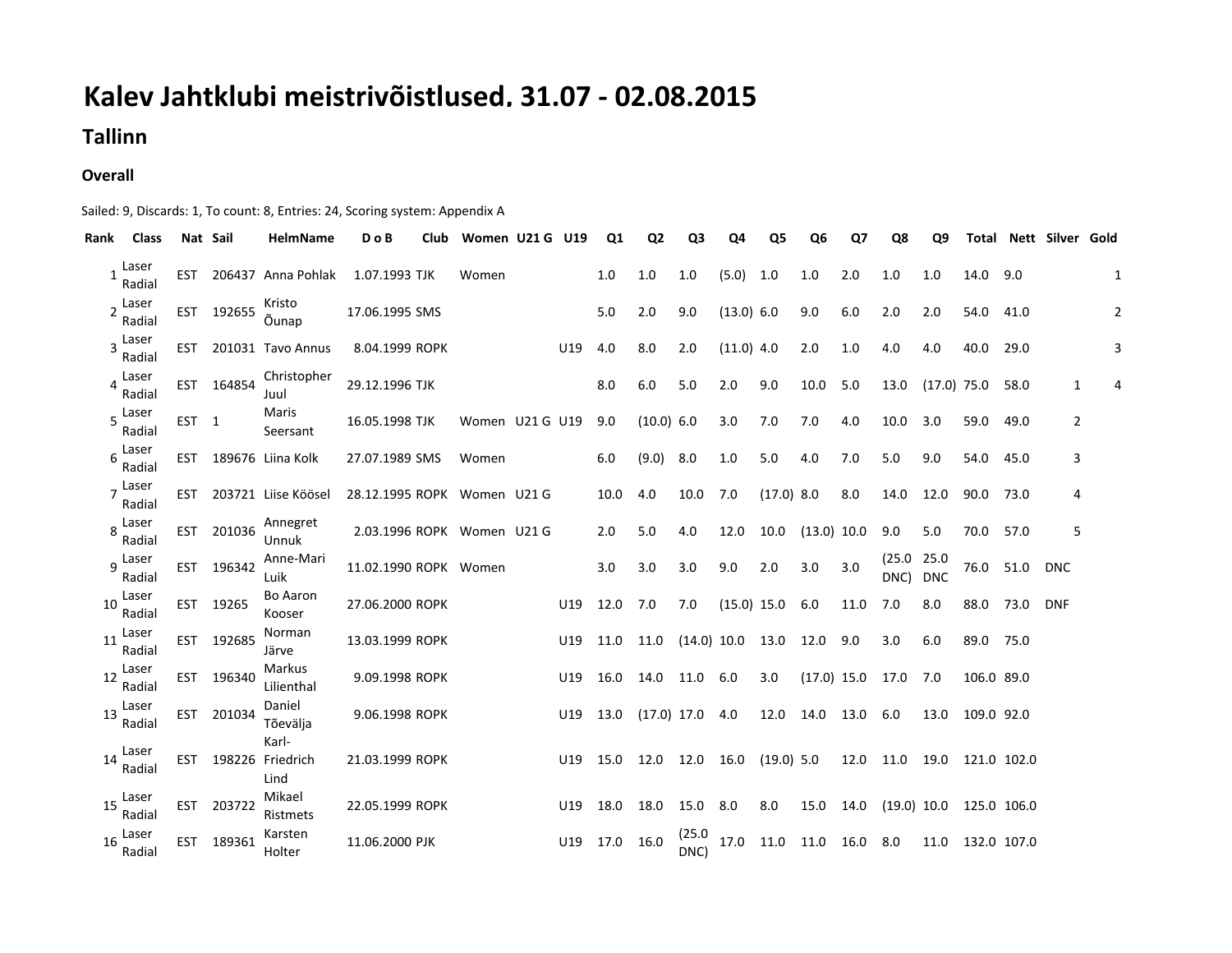## **Kalev Jahtklubi meistrivõistlused, 31.07 - 02.08.2015**

## **Tallinn**

## **Overall**

## Sailed: 9, Discards: 1, To count: 8, Entries: 24, Scoring system: Appendix A

| Rank | <b>Class</b>                 | Nat Sail         |            | HelmName                              | D o B                       | Club | Women U21 G U19 |     | Q1        | Q2            |                |               |                    | Q6            | Ο7   | Q8                        | Ο9                 | Total       |      | Nett Silver Gold |              |                |
|------|------------------------------|------------------|------------|---------------------------------------|-----------------------------|------|-----------------|-----|-----------|---------------|----------------|---------------|--------------------|---------------|------|---------------------------|--------------------|-------------|------|------------------|--------------|----------------|
| 1    | Laser<br>Radial              | EST.             |            | 206437 Anna Pohlak                    | 1.07.1993 TJK               |      | Women           |     | 1.0       | 1.0           | 1.0            | (5.0)         | 1.0                | 1.0           | 2.0  | 1.0                       | 1.0                | 14.0        | 9.0  |                  | $\mathbf{1}$ |                |
| 2    | Laser<br>Radial              |                  | EST 192655 | Kristo<br>Ounap                       | 17.06.1995 SMS              |      |                 |     | 5.0       | 2.0           | 9.0            | (13.0) 6.0    |                    | 9.0           | 6.0  | 2.0                       | 2.0                | 54.0        | 41.0 |                  |              | $\overline{2}$ |
| 3    | Laser<br>Radial              |                  |            | EST 201031 Tavo Annus                 | 8.04.1999 ROPK              |      |                 | U19 | 4.0       | 8.0           | 2.0            | $(11.0)$ 4.0  |                    | 2.0           | 1.0  | 4.0                       | 4.0                | 40.0        | 29.0 |                  |              | 3              |
| 4    | Laser<br>Radial              |                  | EST 164854 | Christopher<br>Juul                   | 29.12.1996 TJK              |      |                 |     | 8.0       | 6.0           | 5.0            | 2.0           | 9.0                | 10.0          | 5.0  | 13.0                      | $(17.0)$ 75.0      |             | 58.0 | $\mathbf{1}$     | 4            |                |
|      | Laser<br>Radial              | EST <sub>1</sub> |            | Maris<br>Seersant                     | 16.05.1998 TJK              |      | Women U21 G U19 |     | 9.0       | (10.0) 6.0    |                | 3.0           | 7.0                | 7.0           | 4.0  | 10.0                      | 3.0                | 59.0        | 49.0 | $\overline{2}$   |              |                |
| 6    | Laser<br>Radial              |                  |            | EST 189676 Liina Kolk                 | 27.07.1989 SMS              |      | Women           |     | 6.0       | (9.0)         | 8.0            | 1.0           | 5.0                | 4.0           | 7.0  | 5.0                       | 9.0                | 54.0        | 45.0 | 3                |              |                |
|      | Laser<br>Radial              | EST.             |            | 203721 Liise Köösel                   | 28.12.1995 ROPK Women U21 G |      |                 |     | 10.0      | 4.0           | 10.0           | 7.0           | $(17.0)$ 8.0       |               | 8.0  | 14.0                      | 12.0               | 90.0        | 73.0 | 4                |              |                |
| 8    | Laser<br>Radial              | EST              | 201036     | Annegret<br>Unnuk                     | 2.03.1996 ROPK Women U21 G  |      |                 |     | 2.0       | 5.0           | 4.0            | 12.0          | 10.0               | $(13.0)$ 10.0 |      | 9.0                       | 5.0                | 70.0        | 57.0 | 5                |              |                |
|      | <sub>9</sub> Laser<br>Radial |                  | EST 196342 | Anne-Mari<br>Luik                     | 11.02.1990 ROPK Women       |      |                 |     | 3.0       | 3.0           | 3.0            | 9.0           | 2.0                | 3.0           | 3.0  | (25.0)<br>DNC)            | 25.0<br><b>DNC</b> | 76.0 51.0   |      | <b>DNC</b>       |              |                |
| 10   | Laser<br>Radial              |                  | EST 19265  | <b>Bo Aaron</b><br>Kooser             | 27.06.2000 ROPK             |      |                 | U19 | 12.0      | 7.0           | 7.0            | $(15.0)$ 15.0 |                    | 6.0           | 11.0 | 7.0                       | 8.0                | 88.0        | 73.0 | <b>DNF</b>       |              |                |
| 11   | Laser<br>Radial              |                  | EST 192685 | Norman<br>Järve                       | 13.03.1999 ROPK             |      |                 | U19 | 11.0      | 11.0          | $(14.0)$ 10.0  |               | 13.0               | 12.0          | 9.0  | 3.0                       | 6.0                | 89.0        | 75.0 |                  |              |                |
| 12   | Laser<br>Radial              |                  | EST 196340 | Markus<br>Lilienthal                  | 9.09.1998 ROPK              |      |                 | U19 | 16.0      | 14.0          | 11.0           | 6.0           | 3.0                | $(17.0)$ 15.0 |      | 17.0                      | 7.0                | 106.0 89.0  |      |                  |              |                |
| 13   | Laser<br>Radial              |                  | EST 201034 | Daniel<br>Tõevälja                    | 9.06.1998 ROPK              |      |                 | U19 | 13.0      | $(17.0)$ 17.0 |                | 4.0           | 12.0               | 14.0          | 13.0 | 6.0                       | 13.0               | 109.0 92.0  |      |                  |              |                |
| 14   | Laser<br>Radial              |                  |            | Karl-<br>EST 198226 Friedrich<br>Lind | 21.03.1999 ROPK             |      |                 | U19 | 15.0      | 12.0          | 12.0           | 16.0          | $(19.0)$ 5.0       |               | 12.0 | 11.0                      | 19.0               | 121.0 102.0 |      |                  |              |                |
| 15   | Laser<br>Radial              |                  | EST 203722 | Mikael<br>Ristmets                    | 22.05.1999 ROPK             |      |                 | U19 | 18.0      | 18.0          | 15.0           | 8.0           | 8.0                | 15.0          | 14.0 | $(19.0)$ 10.0 125.0 106.0 |                    |             |      |                  |              |                |
| 16   | Laser<br>Radial              |                  | EST 189361 | Karsten<br>Holter                     | 11.06.2000 PJK              |      |                 | U19 | 17.0 16.0 |               | (25.0)<br>DNC) | 17.0          | 11.0 11.0 16.0 8.0 |               |      |                           | 11.0 132.0 107.0   |             |      |                  |              |                |